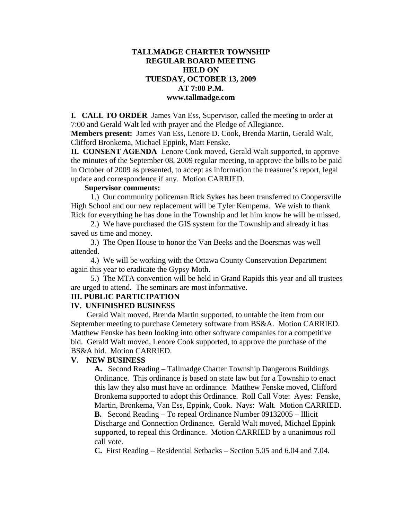# **TALLMADGE CHARTER TOWNSHIP REGULAR BOARD MEETING HELD ON TUESDAY, OCTOBER 13, 2009 AT 7:00 P.M. www.tallmadge.com**

**I. CALL TO ORDER** James Van Ess, Supervisor, called the meeting to order at 7:00 and Gerald Walt led with prayer and the Pledge of Allegiance.

**Members present:** James Van Ess, Lenore D. Cook, Brenda Martin, Gerald Walt, Clifford Bronkema, Michael Eppink, Matt Fenske.

**II. CONSENT AGENDA** Lenore Cook moved, Gerald Walt supported, to approve the minutes of the September 08, 2009 regular meeting, to approve the bills to be paid in October of 2009 as presented, to accept as information the treasurer's report, legal update and correspondence if any. Motion CARRIED.

### **Supervisor comments:**

1.) Our community policeman Rick Sykes has been transferred to Coopersville High School and our new replacement will be Tyler Kempema. We wish to thank Rick for everything he has done in the Township and let him know he will be missed.

 2.) We have purchased the GIS system for the Township and already it has saved us time and money.

 3.) The Open House to honor the Van Beeks and the Boersmas was well attended.

 4.) We will be working with the Ottawa County Conservation Department again this year to eradicate the Gypsy Moth.

 5.) The MTA convention will be held in Grand Rapids this year and all trustees are urged to attend. The seminars are most informative.

#### **III. PUBLIC PARTICIPATION**

#### **IV. UNFINISHED BUSINESS**

Gerald Walt moved, Brenda Martin supported, to untable the item from our September meeting to purchase Cemetery software from BS&A. Motion CARRIED. Matthew Fenske has been looking into other software companies for a competitive bid. Gerald Walt moved, Lenore Cook supported, to approve the purchase of the BS&A bid. Motion CARRIED.

#### **V. NEW BUSINESS**

**A.** Second Reading – Tallmadge Charter Township Dangerous Buildings Ordinance. This ordinance is based on state law but for a Township to enact this law they also must have an ordinance. Matthew Fenske moved, Clifford Bronkema supported to adopt this Ordinance. Roll Call Vote: Ayes: Fenske, Martin, Bronkema, Van Ess, Eppink, Cook. Nays: Walt. Motion CARRIED. **B.** Second Reading – To repeal Ordinance Number 09132005 – Illicit Discharge and Connection Ordinance. Gerald Walt moved, Michael Eppink supported, to repeal this Ordinance. Motion CARRIED by a unanimous roll call vote.

**C.** First Reading – Residential Setbacks – Section 5.05 and 6.04 and 7.04.